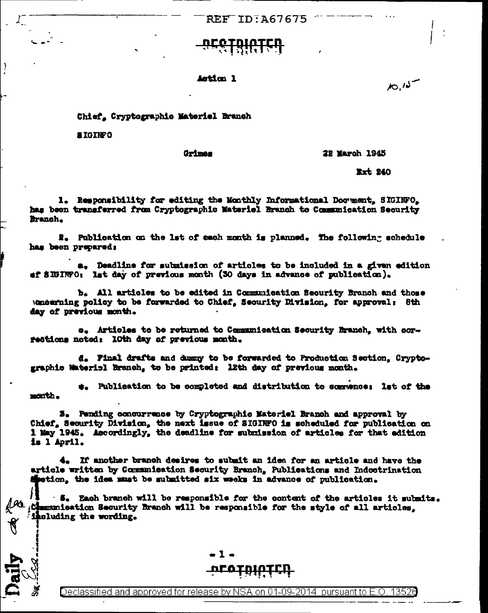**REF ID: A67675** 

Astica 1

Chief, Cryptographic Materiel Branch

**a IGINFO** 

J

**Orimas** 

## **22 March 1945**

Ext. 240

 $10.15$ 

1. Responsibility for editing the Monthly Informational Document, SIGINFO. has been transferred from Cryptographic Materiel Branch to Communication Security Branch.

2. Publication on the lat of sach month is planned. The following schedule has been prepared:

a. Deadline for submission of articles to be included in a given edition ef SIGINFO: let day of previous month (30 days in advance of publication).

b. All articles to be edited in Communication Security Branch and those Amering policy to be forwarded to Chief, Security Division, for approval: 8th day of previous month.

e. Articles to be returned to Communication Security Branch, with corrections noted: 10th day of previous month.

d. Final drafts and dummy to be forwarded to Production Section. Cryptographic Material Branch, to be printed: 12th day of previous month.

#. Publication to be completed and distribution to commence: Ist of the month.

3. Fending concurrence by Cryptographic Materiel Branch and approval by Chief, Security Division, the mext issue of SIGINFO is scheduled for publication on 1 May 1945. Accordingly, the deadline for submission of articles for that edition is l April.

4. If another branch desires to submit an idea for an article and have the article written by Communication Security Branch, Publications and Indoctrination spetion, the idea must be submitted six weeks in advance of publication.

 $-5$ . Each branch will be responsible for the content of the articles it submits.  $\mathcal{A}_i$ : Chamanication Security Branch will be responsible for the style of all articles, including the wording.